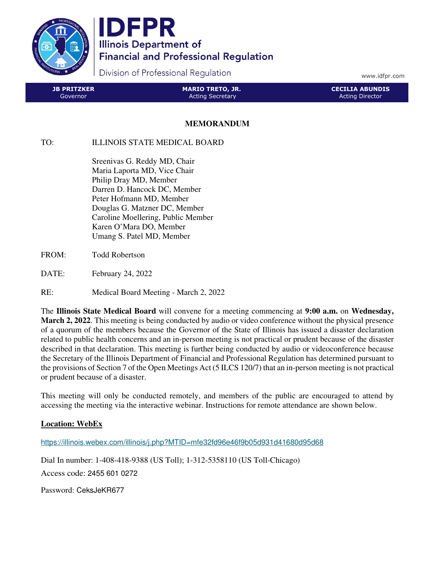

IDFPR **Illinois Department of Financial and Professional Regulation** 

Division of Professional Regulation

www.idfpr.com

| <b>JB PRITZKER</b> | <b>MARIO TRETO, JR.</b> | <b>CECILIA ABUNDIS</b> |
|--------------------|-------------------------|------------------------|
| Governor           | <b>Acting Secretary</b> | Acting Director        |

## **MEMORANDUM**

## TO: ILLINOIS STATE MEDICAL BOARD

 Sreenivas G. Reddy MD, Chair Maria Laporta MD, Vice Chair Philip Dray MD, Member Darren D. Hancock DC, Member Peter Hofmann MD, Member Douglas G. Matzner DC, Member Caroline Moellering, Public Member Karen O'Mara DO, Member Umang S. Patel MD, Member

- FROM: Todd Robertson
- DATE: February 24, 2022

## RE: Medical Board Meeting - March 2, 2022

The **Illinois State Medical Board** will convene for a meeting commencing at **9:00 a.m.** on **Wednesday, March 2, 2022**. This meeting is being conducted by audio or video conference without the physical presence of a quorum of the members because the Governor of the State of Illinois has issued a disaster declaration related to public health concerns and an in-person meeting is not practical or prudent because of the disaster described in that declaration. This meeting is further being conducted by audio or videoconference because the Secretary of the Illinois Department of Financial and Professional Regulation has determined pursuant to the provisions of Section 7 of the Open Meetings Act (5 ILCS 120/7) that an in-person meeting is not practical or prudent because of a disaster.

This meeting will only be conducted remotely, and members of the public are encouraged to attend by accessing the meeting via the interactive webinar. Instructions for remote attendance are shown below.

## **Location: WebEx**

https://illinois.webex.com/illinois/j.php?MTID=mfe32fd96e46f9b05d931d41680d95d68

Dial In number: 1-408-418-9388 (US Toll); 1-312-5358110 (US Toll-Chicago) Access code: 2455 601 0272

Password: CeksJeKR677